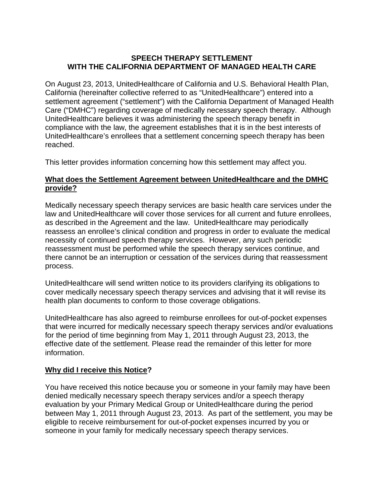# **SPEECH THERAPY SETTLEMENT WITH THE CALIFORNIA DEPARTMENT OF MANAGED HEALTH CARE**

On August 23, 2013, UnitedHealthcare of California and U.S. Behavioral Health Plan, California (hereinafter collective referred to as "UnitedHealthcare") entered into a settlement agreement ("settlement") with the California Department of Managed Health Care ("DMHC") regarding coverage of medically necessary speech therapy. Although UnitedHealthcare believes it was administering the speech therapy benefit in compliance with the law, the agreement establishes that it is in the best interests of UnitedHealthcare's enrollees that a settlement concerning speech therapy has been reached.

This letter provides information concerning how this settlement may affect you.

# **What does the Settlement Agreement between UnitedHealthcare and the DMHC provide?**

Medically necessary speech therapy services are basic health care services under the law and UnitedHealthcare will cover those services for all current and future enrollees, as described in the Agreement and the law. UnitedHealthcare may periodically reassess an enrollee's clinical condition and progress in order to evaluate the medical necessity of continued speech therapy services. However, any such periodic reassessment must be performed while the speech therapy services continue, and there cannot be an interruption or cessation of the services during that reassessment process.

UnitedHealthcare will send written notice to its providers clarifying its obligations to cover medically necessary speech therapy services and advising that it will revise its health plan documents to conform to those coverage obligations.

UnitedHealthcare has also agreed to reimburse enrollees for out-of-pocket expenses that were incurred for medically necessary speech therapy services and/or evaluations for the period of time beginning from May 1, 2011 through August 23, 2013, the effective date of the settlement. Please read the remainder of this letter for more information.

# **Why did I receive this Notice?**

You have received this notice because you or someone in your family may have been denied medically necessary speech therapy services and/or a speech therapy evaluation by your Primary Medical Group or UnitedHealthcare during the period between May 1, 2011 through August 23, 2013. As part of the settlement, you may be eligible to receive reimbursement for out-of-pocket expenses incurred by you or someone in your family for medically necessary speech therapy services.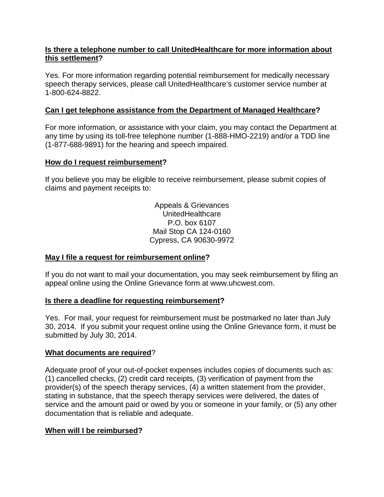### **Is there a telephone number to call UnitedHealthcare for more information about this settlement?**

Yes. For more information regarding potential reimbursement for medically necessary speech therapy services, please call UnitedHealthcare's customer service number at 1-800-624-8822.

# **Can I get telephone assistance from the Department of Managed Healthcare?**

For more information, or assistance with your claim, you may contact the Department at any time by using its toll-free telephone number (1-888-HMO-2219) and/or a TDD line (1-877-688-9891) for the hearing and speech impaired.

#### **How do I request reimbursement?**

If you believe you may be eligible to receive reimbursement, please submit copies of claims and payment receipts to:

> Appeals & Grievances UnitedHealthcare P.O. box 6107 Mail Stop CA 124-0160 Cypress, CA 90630-9972

#### **May I file a request for reimbursement online?**

If you do not want to mail your documentation, you may seek reimbursement by filing an appeal online using the Online Grievance form at www.uhcwest.com.

#### **Is there a deadline for requesting reimbursement?**

Yes. For mail, your request for reimbursement must be postmarked no later than July 30, 2014. If you submit your request online using the Online Grievance form, it must be submitted by July 30, 2014.

#### **What documents are required**?

Adequate proof of your out-of-pocket expenses includes copies of documents such as: (1) cancelled checks, (2) credit card receipts, (3) verification of payment from the provider(s) of the speech therapy services, (4) a written statement from the provider, stating in substance, that the speech therapy services were delivered, the dates of service and the amount paid or owed by you or someone in your family, or (5) any other documentation that is reliable and adequate.

# **When will I be reimbursed?**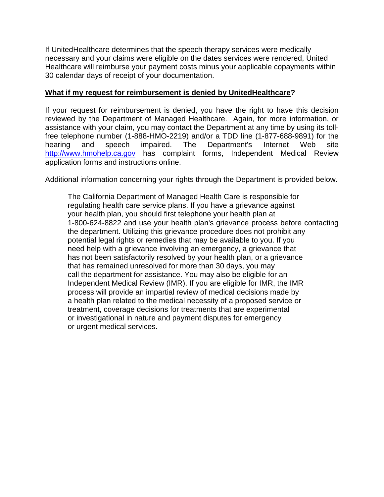If UnitedHealthcare determines that the speech therapy services were medically necessary and your claims were eligible on the dates services were rendered, United Healthcare will reimburse your payment costs minus your applicable copayments within 30 calendar days of receipt of your documentation.

#### **What if my request for reimbursement is denied by UnitedHealthcare?**

If your request for reimbursement is denied, you have the right to have this decision reviewed by the Department of Managed Healthcare. Again, for more information, or assistance with your claim, you may contact the Department at any time by using its tollfree telephone number (1-888-HMO-2219) and/or a TDD line (1-877-688-9891) for the hearing and speech impaired. The Department's Internet Web site [http://www.hmohelp.ca.gov](http://www.hmohelp.ca.gov/) has complaint forms, Independent Medical Review application forms and instructions online.

Additional information concerning your rights through the Department is provided below.

The California Department of Managed Health Care is responsible for regulating health care service plans. If you have a grievance against your health plan, you should first telephone your health plan at 1-800-624-8822 and use your health plan's grievance process before contacting the department. Utilizing this grievance procedure does not prohibit any potential legal rights or remedies that may be available to you. If you need help with a grievance involving an emergency, a grievance that has not been satisfactorily resolved by your health plan, or a grievance that has remained unresolved for more than 30 days, you may call the department for assistance. You may also be eligible for an Independent Medical Review (IMR). If you are eligible for IMR, the IMR process will provide an impartial review of medical decisions made by a health plan related to the medical necessity of a proposed service or treatment, coverage decisions for treatments that are experimental or investigational in nature and payment disputes for emergency or urgent medical services.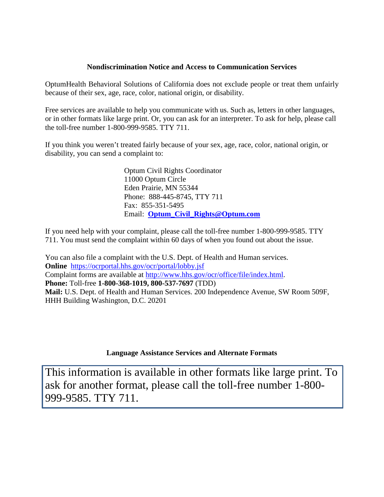#### **Nondiscrimination Notice and Access to Communication Services**

OptumHealth Behavioral Solutions of California does not exclude people or treat them unfairly because of their sex, age, race, color, national origin, or disability.

Free services are available to help you communicate with us. Such as, letters in other languages, or in other formats like large print. Or, you can ask for an interpreter. To ask for help, please call the toll-free number 1-800-999-9585. TTY 711.

If you think you weren't treated fairly because of your sex, age, race, color, national origin, or disability, you can send a complaint to:

> Optum Civil Rights Coordinator 11000 Optum Circle Eden Prairie, MN 55344 Phone: 888-445-8745, TTY 711 Fax: 855-351-5495 Email: **[Optum\\_Civil\\_Rights@Optum.com](mailto:Optum_Civil_Rights@Optum.com)**

If you need help with your complaint, please call the toll-free number 1-800-999-9585. TTY 711. You must send the complaint within 60 days of when you found out about the issue.

You can also file a complaint with the U.S. Dept. of Health and Human services. **Online** <https://ocrportal.hhs.gov/ocr/portal/lobby.jsf> Complaint forms are available at [http://www.hhs.gov/ocr/office/file/index.html.](http://www.hhs.gov/ocr/office/file/index.html) **Phone:** Toll-free **1-800-368-1019, 800-537-7697** (TDD) **Mail:** U.S. Dept. of Health and Human Services. 200 Independence Avenue, SW Room 509F, HHH Building Washington, D.C. 20201

#### **Language Assistance Services and Alternate Formats**

This information is available in other formats like large print. To ask for another format, please call the toll-free number 1-800- 999-9585. TTY 711.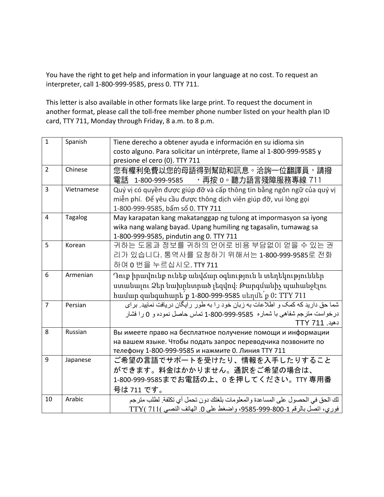You have the right to get help and information in your language at no cost. To request an interpreter, call 1-800-999-9585, press 0. TTY 711.

This letter is also available in other formats like large print. To request the document in another format, please call the toll-free member phone number listed on your health plan ID card, TTY 711, Monday through Friday, 8 a.m. to 8 p.m.

| $\mathbf{1}$   | Spanish        | Tiene derecho a obtener ayuda e información en su idioma sin                   |
|----------------|----------------|--------------------------------------------------------------------------------|
|                |                | costo alguno. Para solicitar un intérprete, llame al 1-800-999-9585 y          |
|                |                | presione el cero (0). TTY 711                                                  |
| $\overline{2}$ | Chinese        | 您有權利免費以您的母語得到幫助和訊息。洽詢一位翻譯員,請撥                                                  |
|                |                | 電話 1-800-999-9585 → 再按 0。聽力語言殘障服務專線 711                                        |
| 3              | Vietnamese     | Quý vị có quyền được giúp đỡ và cấp thông tin bằng ngôn ngữ của quý vị         |
|                |                | miễn phí. Để yêu cầu được thông dịch viên giúp đỡ, vui lòng gọi                |
|                |                | 1-800-999-9585, bấm số 0. TTY 711                                              |
| $\overline{a}$ | <b>Tagalog</b> | May karapatan kang makatanggap ng tulong at impormasyon sa iyong               |
|                |                | wika nang walang bayad. Upang humiling ng tagasalin, tumawag sa                |
|                |                | 1-800-999-9585, pindutin ang 0. TTY 711                                        |
| 5              | Korean         | 귀하는 도움과 정보를 귀하의 언어로 비용 부담없이 얻을 수 있는 권                                          |
|                |                | 리가 있습니다. 통역사를 요청하기 위해서는 1-800-999-9585로 전화                                     |
|                |                | 하여 0 번을 누르십시오. TTY 711                                                         |
| 6              | Armenian       | Դուք իրավունք ունեք անվձար օգնություն և տեղեկություններ                        |
|                |                | ստանալու Ձեր նախրնտրած լեզվով։ Թարգմանիչ պահանջէլու                            |
|                |                | hամար զանգահարե <sup>՜</sup> ք 1-800-999-9585 սեղմե՜ք 0: TTY 711               |
| $\overline{7}$ | Persian        | شما حق دارید که کمک و اطلاعات به زبان خود را به طور رایگان دریافت نمایید. برای |
|                |                | درخواست مترجم شفاهي با شماره 9585-999-800-1 تماس حاصل نموده و 0 را فشار        |
|                |                | دهيد. TTY 711                                                                  |
| 8              | Russian        | Вы имеете право на бесплатное получение помощи и информации                    |
|                |                | на вашем языке. Чтобы подать запрос переводчика позвоните по                   |
|                |                | телефону 1-800-999-9585 и нажмите 0. Линия ТТҮ 711                             |
| 9              | Japanese       | ご希望の言語でサポートを受けたり、情報を入手したりすること                                                  |
|                |                | ができます。料金はかかりません。通訳をご希望の場合は、                                                    |
|                |                | 1-800-999-9585までお電話の上、0 を押してください。TTY 専用番                                       |
|                |                | 号は 711 です。                                                                     |
| 10             | Arabic         | لك الحق في الحصول على المساعدة والمعلومات بلغتك دون تحمل أي تكلفة. لطلب مترجم  |
|                |                | <u>فوري، اتصل بالرقم 3-800-9585-999، واضغط على 0. الهاتف النصبي )TTY( 711</u>  |